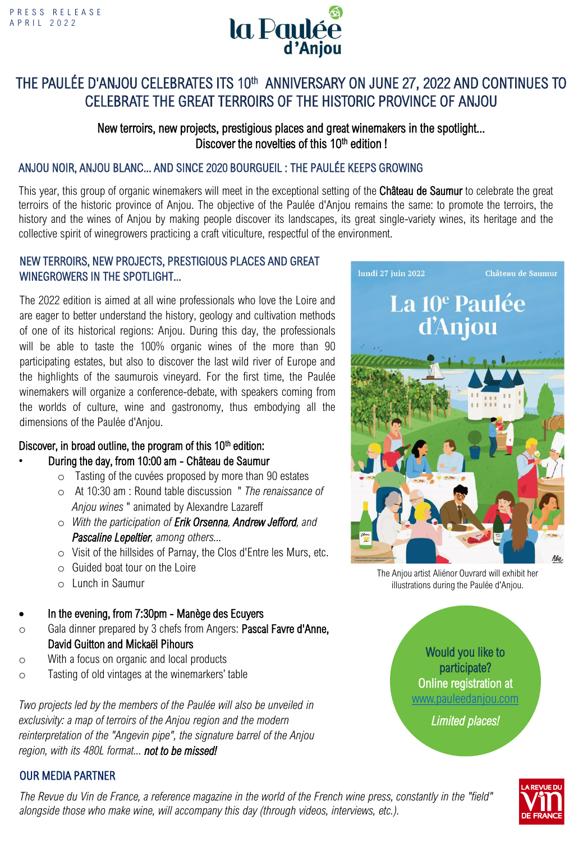

# THE PAULÉE D'ANJOU CELEBRATES ITS 10<sup>th</sup> ANNIVERSARY ON JUNE 27, 2022 AND CONTINUES TO CELEBRATE THE GREAT TERROIRS OF THE HISTORIC PROVINCE OF ANJOU

## New terroirs, new projects, prestigious places and great winemakers in the spotlight... Discover the novelties of this 10<sup>th</sup> edition !

## ANJOU NOIR, ANJOU BLANC... AND SINCE 2020 BOURGUEIL : THE PAULÉE KEEPS GROWING

This year, this group of organic winemakers will meet in the exceptional setting of the Château de Saumur to celebrate the great terroirs of the historic province of Anjou. The objective of the Paulée d'Anjou remains the same: to promote the terroirs, the history and the wines of Anjou by making people discover its landscapes, its great single-variety wines, its heritage and the collective spirit of winegrowers practicing a craft viticulture, respectful of the environment.

## NEW TERROIRS, NEW PROJECTS, PRESTIGIOUS PLACES AND GREAT WINEGROWERS IN THE SPOTLIGHT...

The 2022 edition is aimed at all wine professionals who love the Loire and are eager to better understand the history, geology and cultivation methods of one of its historical regions: Anjou. During this day, the professionals will be able to taste the 100% organic wines of the more than 90 participating estates, but also to discover the last wild river of Europe and the highlights of the saumurois vineyard. For the first time, the Paulée winemakers will organize a conference-debate, with speakers coming from the worlds of culture, wine and gastronomy, thus embodying all the dimensions of the Paulée d'Anjou.

## Discover, in broad outline, the program of this 10<sup>th</sup> edition:

## • During the day, from 10:00 am - Château de Saumur

- o Tasting of the cuvées proposed by more than 90 estates
- o At 10:30 am : Round table discussion " *The renaissance of Anjou wines* " animated by Alexandre Lazareff
- o *With the participation of Erik Orsenna, Andrew Jefford, and Pascaline Lepeltier, among others...*
- o Visit of the hillsides of Parnay, the Clos d'Entre les Murs, etc.
- $\circ$  Guided boat tour on the Loire
- o Lunch in Saumur
- In the evening, from 7:30pm Manège des Ecuyers
- o Gala dinner prepared by 3 chefs from Angers: Pascal Favre d'Anne, David Guitton and Mickaël Pihours
- o With a focus on organic and local products
- o Tasting of old vintages at the winemarkers' table

*Two projects led by the members of the Paulée will also be unveiled in exclusivity: a map of terroirs of the Anjou region and the modern reinterpretation of the "Angevin pipe", the signature barrel of the Anjou region, with its 480L format... not to be missed!*

## OUR MEDIA PARTNER

*The Revue du Vin de France, a reference magazine in the world of the French wine press, constantly in the "field" alongside those who make wine, will accompany this day (through videos, interviews, etc.).* 



The Anjou artist Aliénor Ouvrard will exhibit her illustrations during the Paulée d'Anjou.

Would you like to participate? Online registration at [www.pauleedanjou.com](https://my.weezevent.com/paulee-danjou-2022) 

*Limited places!*

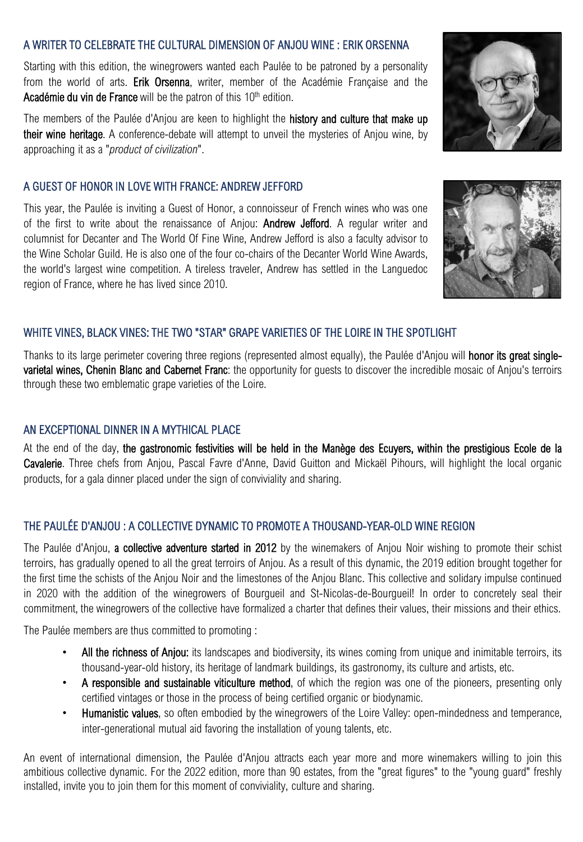### A WRITER TO CELEBRATE THE CULTURAL DIMENSION OF ANJOU WINE : ERIK ORSENNA

Starting with this edition, the winegrowers wanted each Paulée to be patroned by a personality from the world of arts. Erik Orsenna, writer, member of the Académie Française and the Académie du vin de France will be the patron of this  $10<sup>th</sup>$  edition.

The members of the Paulée d'Anjou are keen to highlight the history and culture that make up their wine heritage. A conference-debate will attempt to unveil the mysteries of Anjou wine, by approaching it as a "*product of civilization*".

#### A GUEST OF HONOR IN LOVE WITH FRANCE: ANDREW JEFFORD

This year, the Paulée is inviting a Guest of Honor, a connoisseur of French wines who was one of the first to write about the renaissance of Anjou: **Andrew Jefford**. A regular writer and columnist for Decanter and The World Of Fine Wine, Andrew Jefford is also a faculty advisor to the Wine Scholar Guild. He is also one of the four co-chairs of the Decanter World Wine Awards, the world's largest wine competition. A tireless traveler, Andrew has settled in the Languedoc region of France, where he has lived since 2010.

#### WHITE VINES, BLACK VINES: THE TWO "STAR" GRAPE VARIETIES OF THE LOIRE IN THE SPOTLIGHT

Thanks to its large perimeter covering three regions (represented almost equally), the Paulée d'Anjou will **honor its great single**varietal wines. Chenin Blanc and Cabernet Franc: the opportunity for quests to discover the incredible mosaic of Anjou's terroirs through these two emblematic grape varieties of the Loire.

#### AN EXCEPTIONAL DINNER IN A MYTHICAL PLACE

At the end of the day, the gastronomic festivities will be held in the Manège des Ecuyers, within the prestigious Ecole de la Cavalerie. Three chefs from Anjou, Pascal Favre d'Anne, David Guitton and Mickaël Pihours, will highlight the local organic products, for a gala dinner placed under the sign of conviviality and sharing.

#### THE PAULÉE D'ANJOU : A COLLECTIVE DYNAMIC TO PROMOTE A THOUSAND-YEAR-OLD WINE REGION

The Paulée d'Anjou, a collective adventure started in 2012 by the winemakers of Anjou Noir wishing to promote their schist terroirs, has gradually opened to all the great terroirs of Anjou. As a result of this dynamic, the 2019 edition brought together for the first time the schists of the Anjou Noir and the limestones of the Anjou Blanc. This collective and solidary impulse continued in 2020 with the addition of the winegrowers of Bourgueil and St-Nicolas-de-Bourgueil! In order to concretely seal their commitment, the winegrowers of the collective have formalized a charter that defines their values, their missions and their ethics.

The Paulée members are thus committed to promoting :

- All the richness of Anjou: its landscapes and biodiversity, its wines coming from unique and inimitable terroirs, its thousand-year-old history, its heritage of landmark buildings, its gastronomy, its culture and artists, etc.
- A responsible and sustainable viticulture method, of which the region was one of the pioneers, presenting only certified vintages or those in the process of being certified organic or biodynamic.
- Humanistic values, so often embodied by the winegrowers of the Loire Valley: open-mindedness and temperance, inter-generational mutual aid favoring the installation of young talents, etc.

An event of international dimension, the Paulée d'Anjou attracts each year more and more winemakers willing to join this ambitious collective dynamic. For the 2022 edition, more than 90 estates, from the "great figures" to the "young guard" freshly installed, invite you to join them for this moment of conviviality, culture and sharing.



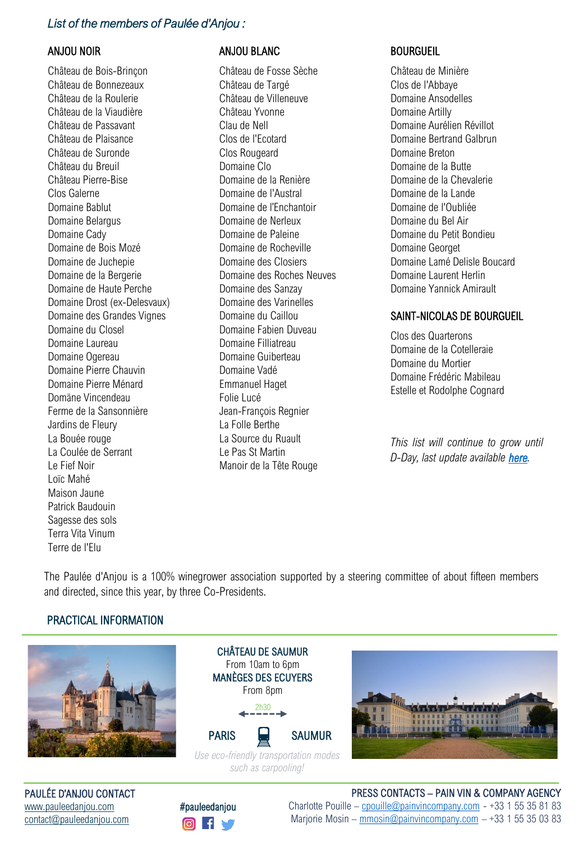#### *List of the members of Paulée d'Anjou :*

#### ANJOU NOIR

Château de Bois-Brinçon Château de Bonnezeaux Château de la Roulerie Château de la Viaudière Château de Passavant Château de Plaisance Château de Suronde Château du Breuil Château Pierre-Bise Clos Galerne Domaine Bablut Domaine Belargus Domaine Cady Domaine de Bois Mozé Domaine de Juchepie Domaine de la Bergerie Domaine de Haute Perche Domaine Drost (ex-Delesvaux) Domaine des Grandes Vignes Domaine du Closel Domaine Laureau Domaine Ogereau Domaine Pierre Chauvin Domaine Pierre Ménard Domäne Vincendeau Ferme de la Sansonnière Jardins de Fleury La Bouée rouge La Coulée de Serrant Le Fief Noir Loïc Mahé Maison Jaune Patrick Baudouin Sagesse des sols Terra Vita Vinum Terre de l'Elu

#### ANJOU BLANC

Château de Fosse Sèche Château de Targé Château de Villeneuve Château Yvonne Clau de Nell Clos de l'Ecotard Clos Rougeard Domaine Clo Domaine de la Renière Domaine de l'Austral Domaine de l'Enchantoir Domaine de Nerleux Domaine de Paleine Domaine de Rocheville Domaine des Closiers Domaine des Roches Neuves Domaine des Sanzay Domaine des Varinelles Domaine du Caillou Domaine Fabien Duveau Domaine Filliatreau Domaine Guiberteau Domaine Vadé Emmanuel Haget Folie Lucé Jean-François Regnier La Folle Berthe La Source du Ruault Le Pas St Martin Manoir de la Tête Rouge

#### **BOURGUEIL**

Château de Minière Clos de l'Abbaye Domaine Ansodelles Domaine Artilly Domaine Aurélien Révillot Domaine Bertrand Galbrun Domaine Breton Domaine de la Butte Domaine de la Chevalerie Domaine de la Lande Domaine de l'Oubliée Domaine du Bel Air Domaine du Petit Bondieu Domaine Georget Domaine Lamé Delisle Boucard Domaine Laurent Herlin Domaine Yannick Amirault

#### SAINT-NICOLAS DE BOURGUEIL

Clos des Quarterons Domaine de la Cotelleraie Domaine du Mortier Domaine Frédéric Mabileau Estelle et Rodolphe Cognard

*This list will continue to grow until D-Day, last update available [here.](https://www.pauleedanjou.com/qui-sommes-nous/)*

The Paulée d'Anjou is a 100% winegrower association supported by a steering committee of about fifteen members and directed, since this year, by three Co-Presidents.

#### PRACTICAL INFORMATION



PAULÉE D'ANJOU CONTACT [www.pauleedanjou.com](http://www.pauleedanjou.com/) #pauleedanjou [contact@pauleedanjou.com](mailto:contact@pauleedanjou.com)





**O** f y





PRESS CONTACTS – PAIN VIN & COMPANY AGENCY Charlotte Pouille – [cpouille@painvincompany.com](mailto:cpouille@painvincompany.com) - +33 1 55 35 81 83 Marjorie Mosin – [mmosin@painvincompany.com](mailto:mmosin@painvincompany.com) – +33 1 55 35 03 83